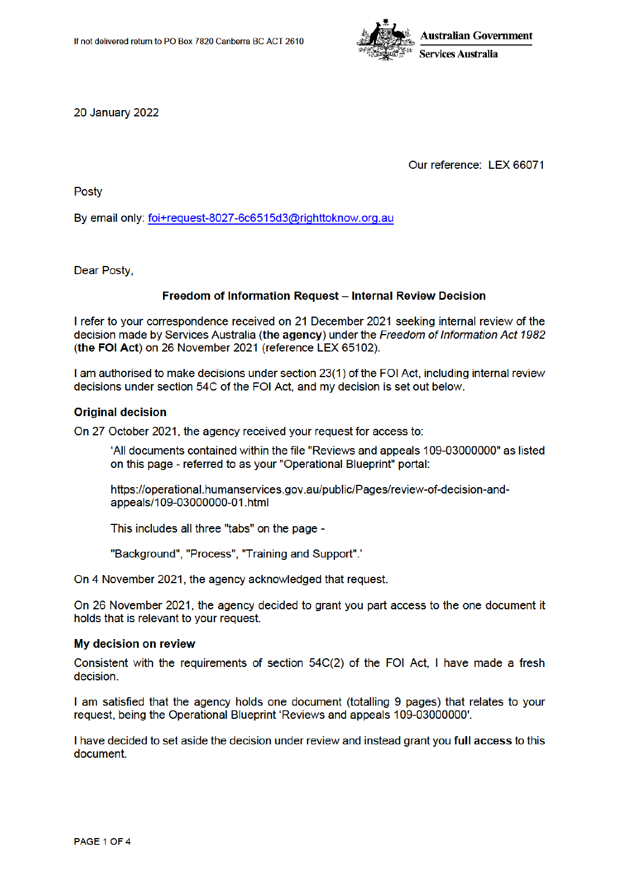

**20 January 2022** 

Our reference: LEX 66071

Posty

By email only: foi+request-8027-6c6515d3@righttoknow.org.au

Dear Posty.

# Freedom of Information Request - Internal Review Decision

I refer to your correspondence received on 21 December 2021 seeking internal review of the decision made by Services Australia (the agency) under the Freedom of Information Act 1982 (the FOI Act) on 26 November 2021 (reference LEX 65102).

I am authorised to make decisions under section 23(1) of the FOI Act, including internal review decisions under section 54C of the FOI Act, and my decision is set out below.

#### **Original decision**

On 27 October 2021, the agency received your request for access to:

'All documents contained within the file "Reviews and appeals 109-03000000" as listed on this page - referred to as your "Operational Blueprint" portal:

https://operational.humanservices.gov.au/public/Pages/review-of-decision-andappeals/109-03000000-01.html

This includes all three "tabs" on the page -

"Background", "Process", "Training and Support"."

On 4 November 2021, the agency acknowledged that request.

On 26 November 2021, the agency decided to grant you part access to the one document it holds that is relevant to your request.

### My decision on review

Consistent with the requirements of section 54C(2) of the FOI Act, I have made a fresh decision.

I am satisfied that the agency holds one document (totalling 9 pages) that relates to your request, being the Operational Blueprint 'Reviews and appeals 109-03000000'.

I have decided to set aside the decision under review and instead grant you full access to this document.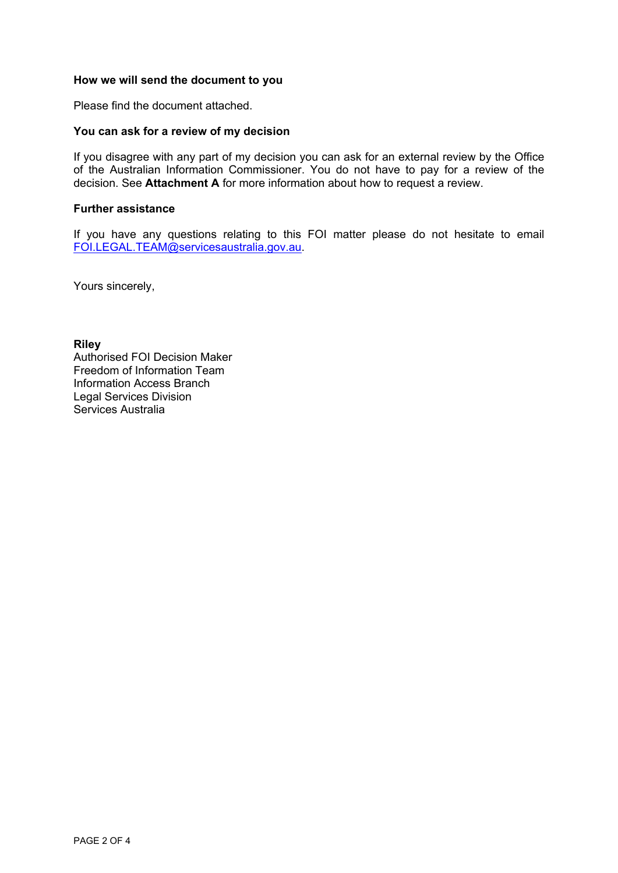# **How we will send the document to you**

Please find the document attached.

# **You can ask for a review of my decision**

If you disagree with any part of my decision you can ask for an external review by the Office of the Australian Information Commissioner. You do not have to pay for a review of the decision. See **Attachment A** for more information about how to request a review.

### **Further assistance**

If you have any questions relating to this FOI matter please do not hesitate to email FOI.LEGAL.TEAM@servicesaustralia.gov.au.

Yours sincerely,

**Riley**

Authorised FOI Decision Maker Freedom of Information Team Information Access Branch Legal Services Division Services Australia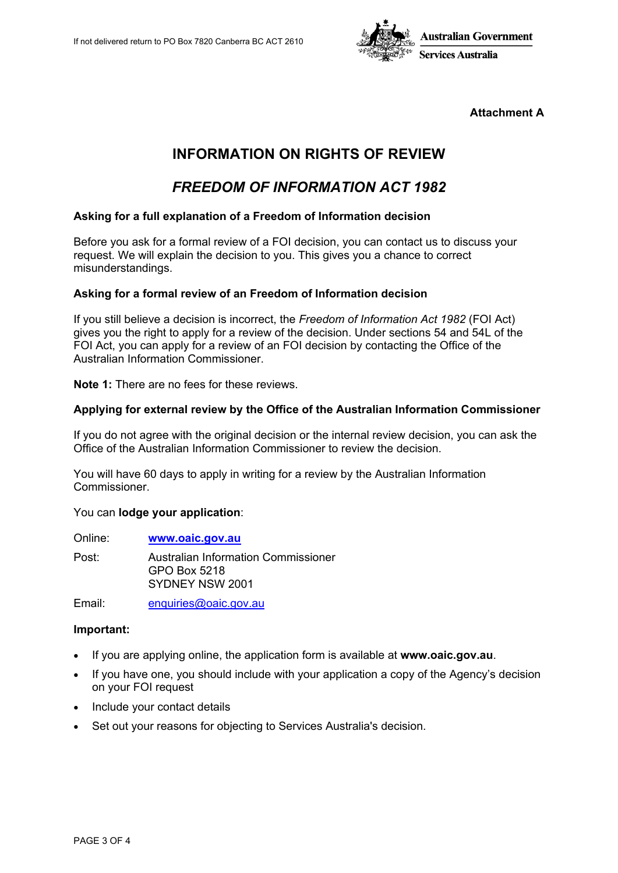

**Attachment A**

# **INFORMATION ON RIGHTS OF REVIEW**

# *FREEDOM OF INFORMATION ACT 1982*

### **Asking for a full explanation of a Freedom of Information decision**

Before you ask for a formal review of a FOI decision, you can contact us to discuss your request. We will explain the decision to you. This gives you a chance to correct misunderstandings.

#### **Asking for a formal review of an Freedom of Information decision**

If you still believe a decision is incorrect, the *Freedom of Information Act 1982* (FOI Act) gives you the right to apply for a review of the decision. Under sections 54 and 54L of the FOI Act, you can apply for a review of an FOI decision by contacting the Office of the Australian Information Commissioner.

**Note 1:** There are no fees for these reviews.

# **Applying for external review by the Office of the Australian Information Commissioner**

If you do not agree with the original decision or the internal review decision, you can ask the Office of the Australian Information Commissioner to review the decision.

You will have 60 days to apply in writing for a review by the Australian Information Commissioner.

#### You can **lodge your application**:

| Online: | www.oaic.gov.au                                                        |
|---------|------------------------------------------------------------------------|
| Post:   | Australian Information Commissioner<br>GPO Box 5218<br>SYDNEY NSW 2001 |

Email: enquiries@oaic.gov.au

#### **Important:**

- If you are applying online, the application form is available at **www.oaic.gov.au**.
- If you have one, you should include with your application a copy of the Agency's decision on your FOI request
- Include your contact details
- Set out your reasons for objecting to Services Australia's decision.